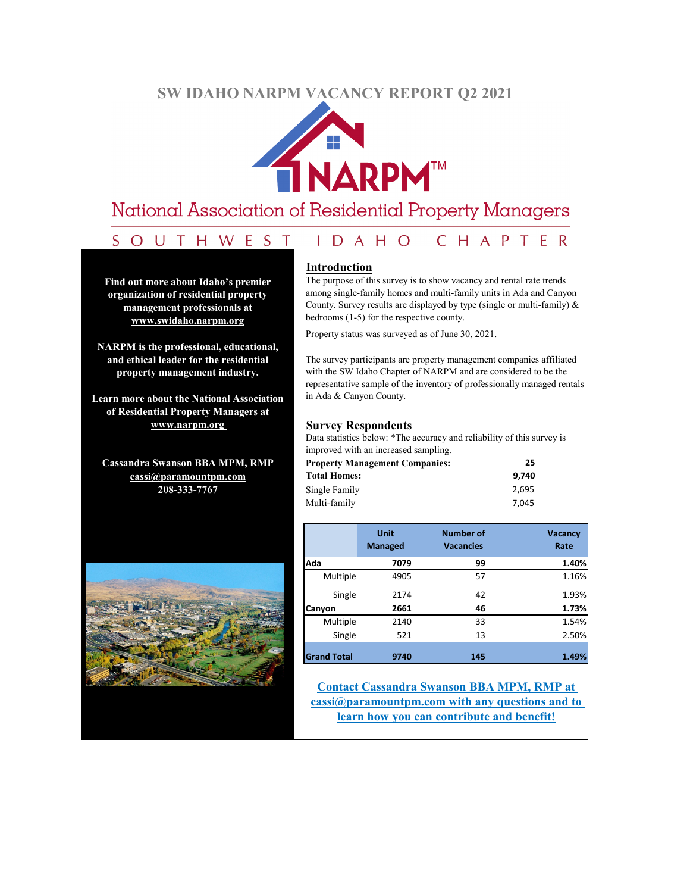# **SW IDAHO NARPM VACANCY REPORT Q2 2021**



# National Association of Residential Property Managers

#### SOUTHWEST IDAHO CHAPTER

**Find out more about Idaho's premier organization of residential property management professionals at www.swidaho.narpm.org**

**NARPM is the professional, educational, and ethical leader for the residential property management industry.**

**Learn more about the National Association of Residential Property Managers at www.narpm.org** 

**Cassandra Swanson BBA MPM, RMP cassi@paramountpm.com 208-333-7767**



#### **Introduction**

The purpose of this survey is to show vacancy and rental rate trends among single-family homes and multi-family units in Ada and Canyon County. Survey results are displayed by type (single or multi-family)  $\&$ bedrooms (1-5) for the respective county.

Property status was surveyed as of June 30, 2021.

The survey participants are property management companies affiliated with the SW Idaho Chapter of NARPM and are considered to be the representative sample of the inventory of professionally managed rentals in Ada & Canyon County.

#### **Survey Respondents**

Data statistics below: \*The accuracy and reliability of this survey is improved with an increased sampling.

| <b>Property Management Companies:</b> | 25    |
|---------------------------------------|-------|
| <b>Total Homes:</b>                   | 9.740 |
| Single Family                         | 2.695 |
| Multi-family                          | 7.045 |

|                    | <b>Unit</b><br><b>Managed</b> | <b>Number of</b><br><b>Vacancies</b> | <b>Vacancy</b><br>Rate |
|--------------------|-------------------------------|--------------------------------------|------------------------|
| Ada                | 7079                          | 99                                   | 1.40%                  |
| Multiple           | 4905                          | 57                                   | 1.16%                  |
| Single             | 2174                          | 42                                   | 1.93%                  |
| Canyon             | 2661                          | 46                                   | 1.73%                  |
| Multiple           | 2140                          | 33                                   | 1.54%                  |
| Single             | 521                           | 13                                   | 2.50%                  |
|                    |                               |                                      |                        |
| <b>Grand Total</b> | 9740                          | 145                                  | 1.49%                  |

**Contact Cassandra Swanson BBA MPM, RMP at cassi@paramountpm.com with any questions and to learn how you can contribute and benefit!**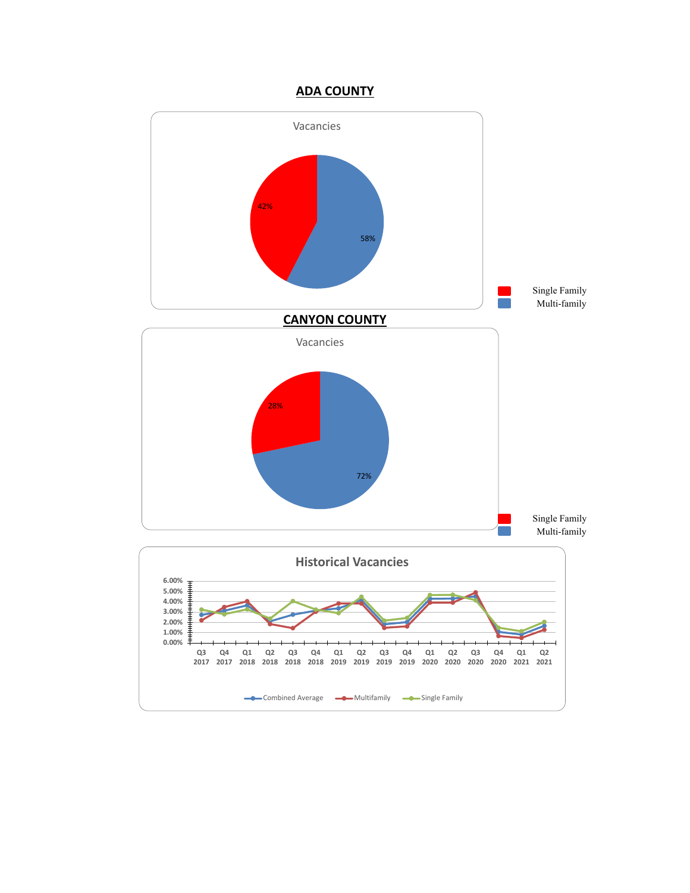### **ADA COUNTY**

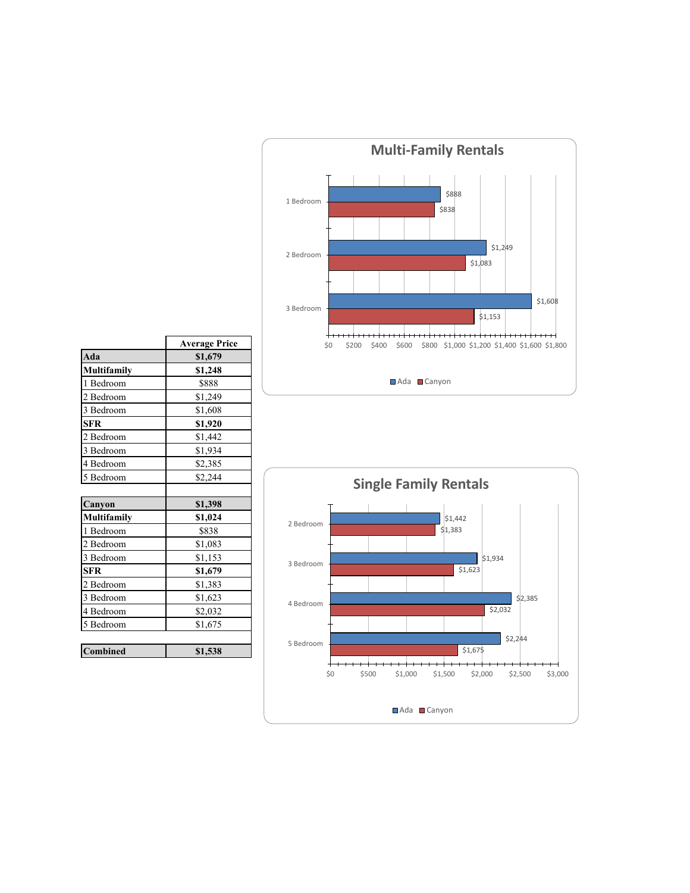

|                    | <b>Average Price</b> |
|--------------------|----------------------|
| Ada                | \$1,679              |
| Multifamily        | \$1,248              |
| 1 Bedroom          | \$888                |
| 2 Bedroom          | \$1,249              |
| 3 Bedroom          | \$1,608              |
| <b>SFR</b>         | \$1,920              |
| 2 Bedroom          | \$1,442              |
| 3 Bedroom          | \$1,934              |
| 4 Bedroom          | \$2,385              |
| 5 Bedroom          | \$2,244              |
|                    |                      |
| Canyon             | \$1,398              |
| <b>Multifamily</b> | \$1,024              |
| 1 Bedroom          | \$838                |
| 2 Bedroom          | \$1,083              |
| 3 Bedroom          | \$1,153              |
| <b>SFR</b>         | \$1,679              |
| 2 Bedroom          | \$1,383              |
| 3 Bedroom          | \$1,623              |
| 4 Bedroom          | \$2,032              |
| 5 Bedroom          | \$1,675              |
|                    |                      |
| <b>Combined</b>    | \$1,538              |